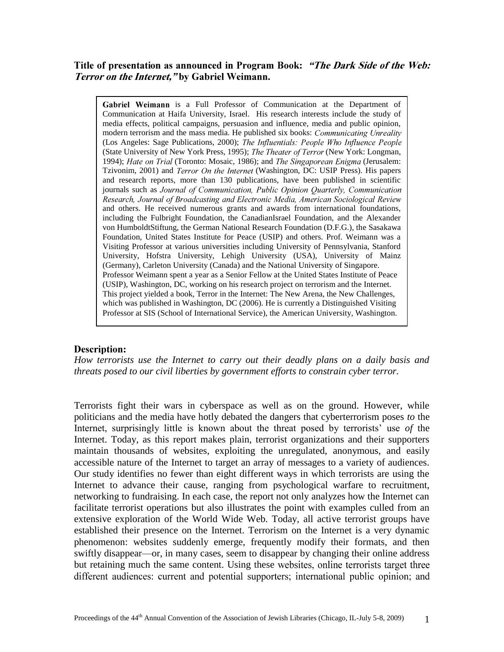Title of presentation as announced in Program Book: "The Dark Side of the Web: Terror on the Internet," by Gabriel Weimann.

Gabriel Weimann is a Full Professor of Communication at the Department of Communication at Haifa University, Israel. His research interests include the study of media effects, political campaigns, persuasion and influence, media and public opinion, modern terrorism and the mass media. He published six books: *Communicating Unreality* (Los Angeles: Sage Publications, 2000); The Influentials: People Who Influence People (State University of New York Press, 1995); *The Theater of Terror* (New York: Longman, 1994); Hate on Trial (Toronto: Mosaic, 1986); and The Singaporean Enigma (Jerusalem: Tzivonim, 2001) and *Terror On the Internet* (Washington, DC: USIP Press). His papers and research reports, more than 130 publications, have been published in scientific journals such as Journal of Communication, Public Opinion Quarterly, Communication<br>Research, Journal of Broadcasting and Electronic Media, American Sociological Review and others. He received numerous grants and awards from international foundations, including the Fulbright Foundation, the CanadianIsrael Foundation, and the Alexander von HumboldtStiftung, the German National Research Foundation (D.F.G.), the Sasakawa Foundation, United States Institute for Peace (USIP) and others. Prof. Weimann was a Visiting Professor at various universities including University of Pennsylvania, Stanford University, Hofstra University, Lehigh University (USA), University of Mainz (Germany), Carleton University (Canada) and the National University of Singapore. Professor Weimann spent a year as a Senior Fellow at the United States Institute of Peace (USIP), Washington, DC, working on his research project on terrorism and the Internet. This project yielded a book, Terror in the Internet: The New Arena, the New Challenges, which was published in Washington, DC (2006). He is currently a Distinguished Visiting Professor at SIS (School of International Service), the American University, Washington.

## **Description:**

*How terrorists use the Internet to carry out their deadly plans on a daily basis and threats posed to our civil liberties by government efforts to constrain cyber terror.*

Terrorists fight their wars in cyberspace as well as on the ground. However, while politicians and the media have hotly debated the dangers that cyberterrorism poses *to* the Internet, surprisingly little is known about the threat posed by terrorists' use *of* the Internet. Today, as this report makes plain, terrorist organizations and their supporters maintain thousands of websites, exploiting the unregulated, anonymous, and easily accessible nature of the Internet to target an array of messages to a variety of audiences. Our study identifies no fewer than eight different ways in which terrorists are using the Internet to advance their cause, ranging from psychological warfare to recruitment, networking to fundraising. In each case, the report not only analyzes how the Internet can facilitate terrorist operations but also illustrates the point with examples culled from an extensive exploration of the World Wide Web. Today, all active terrorist groups have established their presence on the Internet. Terrorism on the Internet is a very dynamic phenomenon: websites suddenly emerge, frequently modify their formats, and then swiftly disappear—or, in many cases, seem to disappear by changing their online address but retaining much the same content. Using these websites, online terrorists target three different audiences: current and potential supporters; international public opinion; and